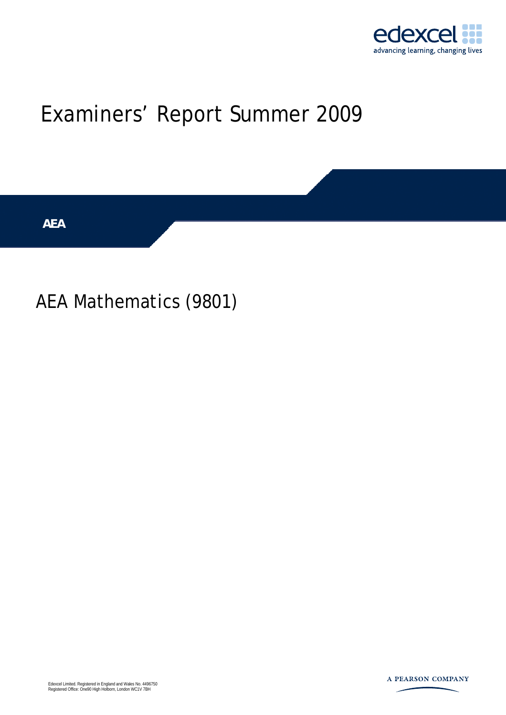

# Examiners' Report Summer 2009

**AEA** 

## AEA Mathematics (9801)

Edexcel Limited. Registered in England and Wales No. 4496750 Registered Office: One90 High Holborn, London WC1V 7BH

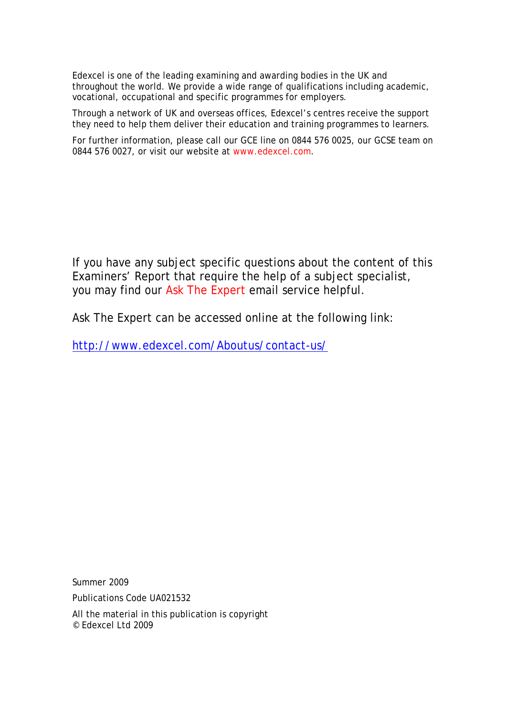Edexcel is one of the leading examining and awarding bodies in the UK and throughout the world. We provide a wide range of qualifications including academic, vocational, occupational and specific programmes for employers.

Through a network of UK and overseas offices, Edexcel's centres receive the support they need to help them deliver their education and training programmes to learners.

For further information, please call our GCE line on 0844 576 0025, our GCSE team on 0844 576 0027, or visit our website at www.edexcel.com.

If you have any subject specific questions about the content of this Examiners' Report that require the help of a subject specialist, you may find our Ask The Expert email service helpful.

Ask The Expert can be accessed online at the following link:

http://www.edexcel.com/Aboutus/contact-us/

Summer 2009

Publications Code UA021532

All the material in this publication is copyright © Edexcel Ltd 2009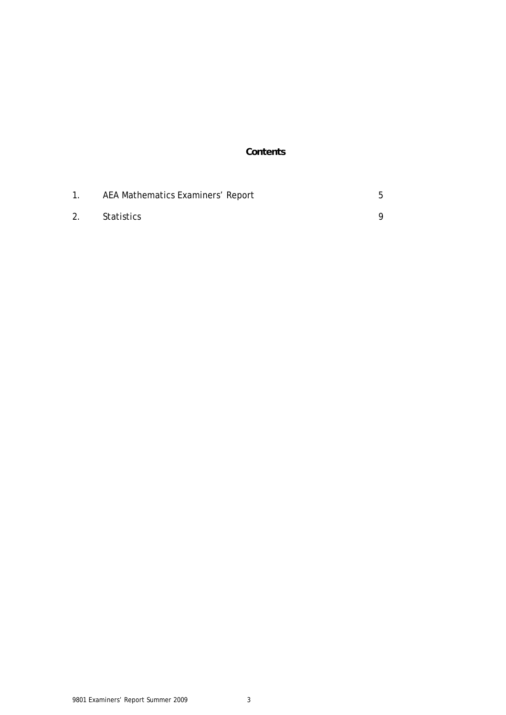#### **Contents**

|    | AEA Mathematics Examiners' Report |  |
|----|-----------------------------------|--|
| 2. | Statistics                        |  |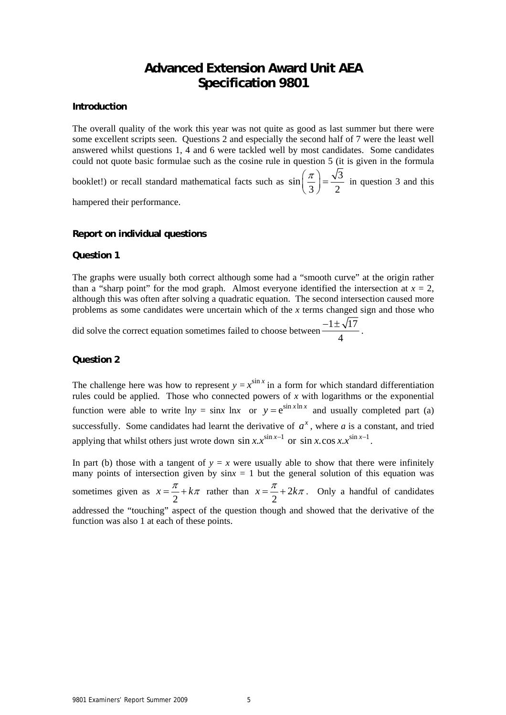### **Advanced Extension Award Unit AEA Specification 9801**

#### **Introduction**

The overall quality of the work this year was not quite as good as last summer but there were some excellent scripts seen. Questions 2 and especially the second half of 7 were the least well answered whilst questions 1, 4 and 6 were tackled well by most candidates. Some candidates could not quote basic formulae such as the cosine rule in question 5 (it is given in the formula booklet!) or recall standard mathematical facts such as  $\sin\left(\frac{\pi}{2}\right) = \frac{\sqrt{3}}{2}$ 3) 2  $\left(\frac{\pi}{3}\right) = \frac{\sqrt{3}}{2}$  in question 3 and this

hampered their performance.

#### **Report on individual questions**

#### **Question 1**

The graphs were usually both correct although some had a "smooth curve" at the origin rather than a "sharp point" for the mod graph. Almost everyone identified the intersection at  $x = 2$ , although this was often after solving a quadratic equation. The second intersection caused more problems as some candidates were uncertain which of the *x* terms changed sign and those who

did solve the correct equation sometimes failed to choose between  $\frac{-1 \pm \sqrt{17}}{1}$ 4  $\frac{-1 \pm \sqrt{17}}{4}$ .

#### **Question 2**

The challenge here was how to represent  $y = x^{\sin x}$  in a form for which standard differentiation rules could be applied. Those who connected powers of *x* with logarithms or the exponential function were able to write  $\ln y = \sin x \ln x$  or  $y = e^{\sin x \ln x}$  and usually completed part (a) successfully. Some candidates had learnt the derivative of  $a^x$ , where *a* is a constant, and tried applying that whilst others just wrote down  $\sin x . x^{\sin x - 1}$  or  $\sin x . \cos x . x^{\sin x - 1}$ .

In part (b) those with a tangent of  $y = x$  were usually able to show that there were infinitely many points of intersection given by  $\sin x = 1$  but the general solution of this equation was sometimes given as  $x = \frac{\pi}{2} + k\pi$  rather than  $x = \frac{\pi}{2} + 2$ 2  $x = \frac{\pi}{2} + 2k\pi$ . Only a handful of candidates addressed the "touching" aspect of the question though and showed that the derivative of the function was also 1 at each of these points.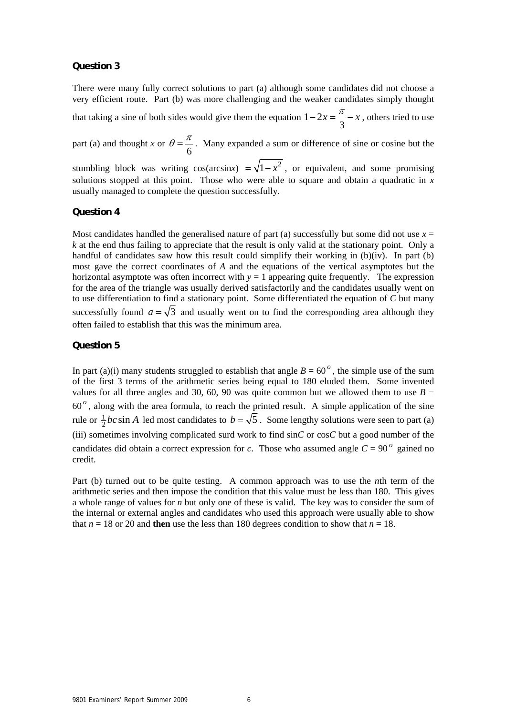#### **Question 3**

There were many fully correct solutions to part (a) although some candidates did not choose a very efficient route. Part (b) was more challenging and the weaker candidates simply thought

that taking a sine of both sides would give them the equation  $1 - 2$ 3  $-2x = \frac{\pi}{2} - x$ , others tried to use

part (a) and thought *x* or 6  $\theta = \frac{\pi}{\pi}$ . Many expanded a sum or difference of sine or cosine but the

stumbling block was writing cos(arcsinx)  $=\sqrt{1-x^2}$ , or equivalent, and some promising solutions stopped at this point. Those who were able to square and obtain a quadratic in *x* usually managed to complete the question successfully.

#### **Question 4**

Most candidates handled the generalised nature of part (a) successfully but some did not use  $x =$ *k* at the end thus failing to appreciate that the result is only valid at the stationary point. Only a handful of candidates saw how this result could simplify their working in (b)(iv). In part (b) most gave the correct coordinates of *A* and the equations of the vertical asymptotes but the horizontal asymptote was often incorrect with  $y = 1$  appearing quite frequently. The expression for the area of the triangle was usually derived satisfactorily and the candidates usually went on to use differentiation to find a stationary point. Some differentiated the equation of *C* but many successfully found  $a = \sqrt{3}$  and usually went on to find the corresponding area although they often failed to establish that this was the minimum area.

#### **Question 5**

In part (a)(i) many students struggled to establish that angle  $B = 60^\circ$ , the simple use of the sum of the first 3 terms of the arithmetic series being equal to 180 eluded them. Some invented values for all three angles and 30, 60, 90 was quite common but we allowed them to use  $B =$ 60 *<sup>o</sup>* , along with the area formula, to reach the printed result. A simple application of the sine rule or  $\frac{1}{2}$ *bc* sin *A* led most candidates to  $b = \sqrt{5}$ . Some lengthy solutions were seen to part (a) (iii) sometimes involving complicated surd work to find sin*C* or cos*C* but a good number of the candidates did obtain a correct expression for *c*. Those who assumed angle  $C = 90^\circ$  gained no credit.

Part (b) turned out to be quite testing. A common approach was to use the *n*th term of the arithmetic series and then impose the condition that this value must be less than 180. This gives a whole range of values for *n* but only one of these is valid. The key was to consider the sum of the internal or external angles and candidates who used this approach were usually able to show that  $n = 18$  or 20 and **then** use the less than 180 degrees condition to show that  $n = 18$ .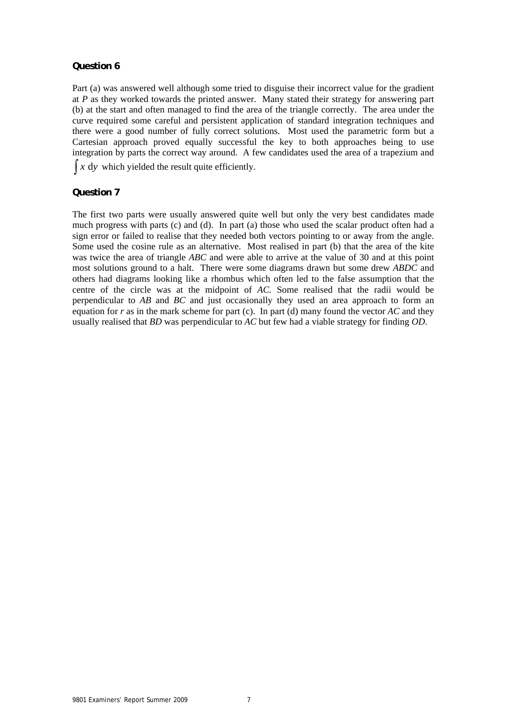#### **Question 6**

Part (a) was answered well although some tried to disguise their incorrect value for the gradient at *P* as they worked towards the printed answer. Many stated their strategy for answering part (b) at the start and often managed to find the area of the triangle correctly. The area under the curve required some careful and persistent application of standard integration techniques and there were a good number of fully correct solutions. Most used the parametric form but a Cartesian approach proved equally successful the key to both approaches being to use integration by parts the correct way around. A few candidates used the area of a trapezium and  $\int x \, dy$  which yielded the result quite efficiently.

**Question 7**

The first two parts were usually answered quite well but only the very best candidates made much progress with parts (c) and (d). In part (a) those who used the scalar product often had a sign error or failed to realise that they needed both vectors pointing to or away from the angle. Some used the cosine rule as an alternative. Most realised in part (b) that the area of the kite was twice the area of triangle *ABC* and were able to arrive at the value of 30 and at this point most solutions ground to a halt. There were some diagrams drawn but some drew *ABDC* and others had diagrams looking like a rhombus which often led to the false assumption that the centre of the circle was at the midpoint of *AC.* Some realised that the radii would be perpendicular to *AB* and *BC* and just occasionally they used an area approach to form an equation for *r* as in the mark scheme for part (c). In part (d) many found the vector *AC* and they usually realised that *BD* was perpendicular to *AC* but few had a viable strategy for finding *OD*.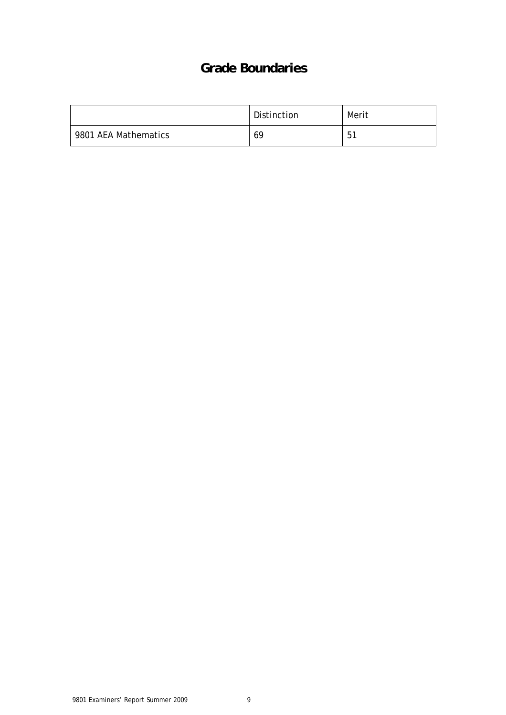## **Grade Boundaries**

|                      | Distinction | Merit |
|----------------------|-------------|-------|
| 9801 AEA Mathematics | 69          | 51    |